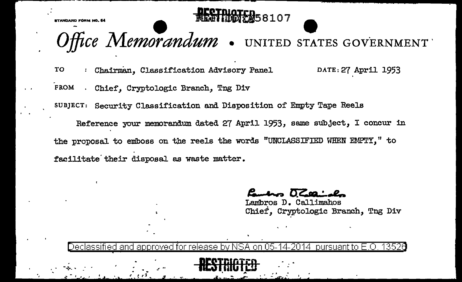KTANDARD FÓRM NÓ. É



## Fice Memorandum . UNITED STATES GOVERNMENT

: Chairman, Classification Advisory Panel TO DATE: 27 April 1953 FROM . Chief, Cryptologic Branch, Tng Div SUBJECT: Security Classification and Disposition of Empty Tape Reels

Reference your memorandum dated 27 April 1953, same subject, I concur in the proposal to emboss on the reels the words "UNCLASSIFIED WHEN EMPTY." to facilitate their disposal as waste matter.

Lambros D. Callimahos Chief, Cryptologic Branch, Tng Div

Declassified and approved for release by NSA on 05-14-2014 pursuant to E.O. 13526